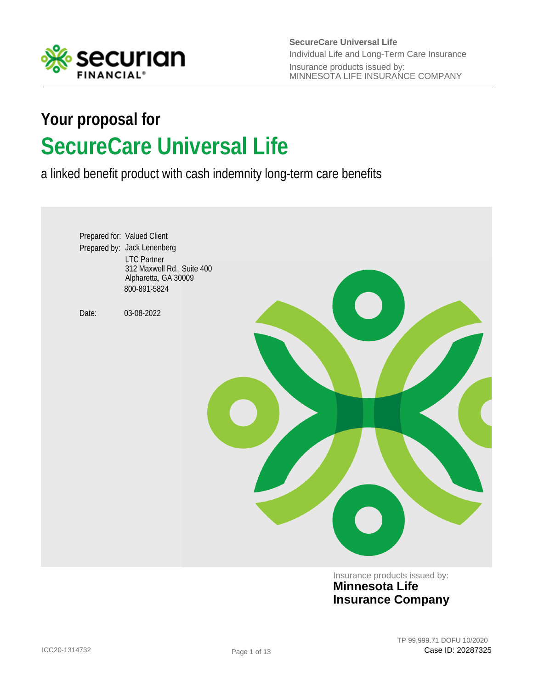

**SecureCare Universal Life** Insurance products issued by: MINNESOTA LIFE INSURANCE COMPANY Individual Life and Long-Term Care Insurance

# **SecureCare Universal Life Your proposal for**

a linked benefit product with cash indemnity long-term care benefits



Insurance products issued by: **Minnesota Life Insurance Company**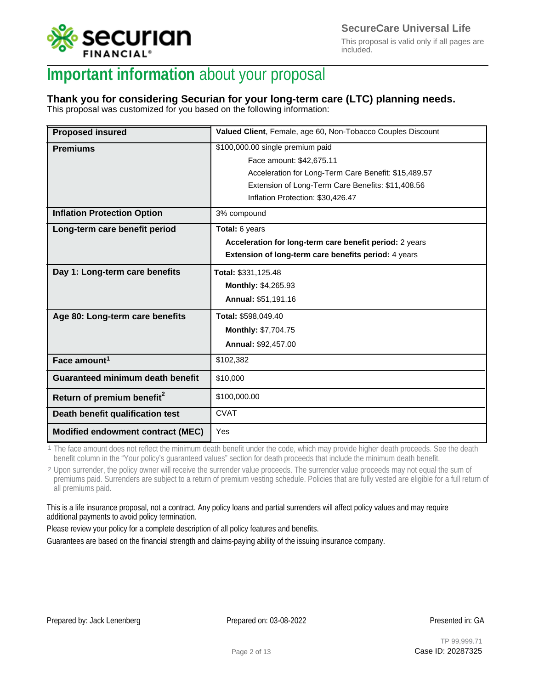

This proposal is valid only if all pages are included.

## **Important information** about your proposal

## **Thank you for considering Securian for your long-term care (LTC) planning needs.**

This proposal was customized for you based on the following information:

| <b>Proposed insured</b>                  | Valued Client, Female, age 60, Non-Tobacco Couples Discount |
|------------------------------------------|-------------------------------------------------------------|
| <b>Premiums</b>                          | \$100,000.00 single premium paid                            |
|                                          | Face amount: \$42,675.11                                    |
|                                          | Acceleration for Long-Term Care Benefit: \$15,489.57        |
|                                          | Extension of Long-Term Care Benefits: \$11,408.56           |
|                                          | Inflation Protection: \$30,426.47                           |
| <b>Inflation Protection Option</b>       | 3% compound                                                 |
| Long-term care benefit period            | Total: 6 years                                              |
|                                          | Acceleration for long-term care benefit period: 2 years     |
|                                          | Extension of long-term care benefits period: 4 years        |
| Day 1: Long-term care benefits           | Total: \$331,125.48                                         |
|                                          | Monthly: \$4,265.93                                         |
|                                          | Annual: \$51,191.16                                         |
| Age 80: Long-term care benefits          | Total: \$598,049.40                                         |
|                                          | Monthly: \$7,704.75                                         |
|                                          | Annual: \$92,457.00                                         |
| Face amount <sup>1</sup>                 | \$102,382                                                   |
| <b>Guaranteed minimum death benefit</b>  | \$10.000                                                    |
| Return of premium benefit <sup>2</sup>   | \$100,000.00                                                |
| Death benefit qualification test         | <b>CVAT</b>                                                 |
| <b>Modified endowment contract (MEC)</b> | Yes                                                         |

1 The face amount does not reflect the minimum death benefit under the code, which may provide higher death proceeds. See the death benefit column in the "Your policy's guaranteed values" section for death proceeds that include the minimum death benefit.

<sup>2</sup> Upon surrender, the policy owner will receive the surrender value proceeds. The surrender value proceeds may not equal the sum of premiums paid. Surrenders are subject to a return of premium vesting schedule. Policies that are fully vested are eligible for a full return of all premiums paid.

This is a life insurance proposal, not a contract. Any policy loans and partial surrenders will affect policy values and may require additional payments to avoid policy termination.

Please review your policy for a complete description of all policy features and benefits.

Guarantees are based on the financial strength and claims-paying ability of the issuing insurance company.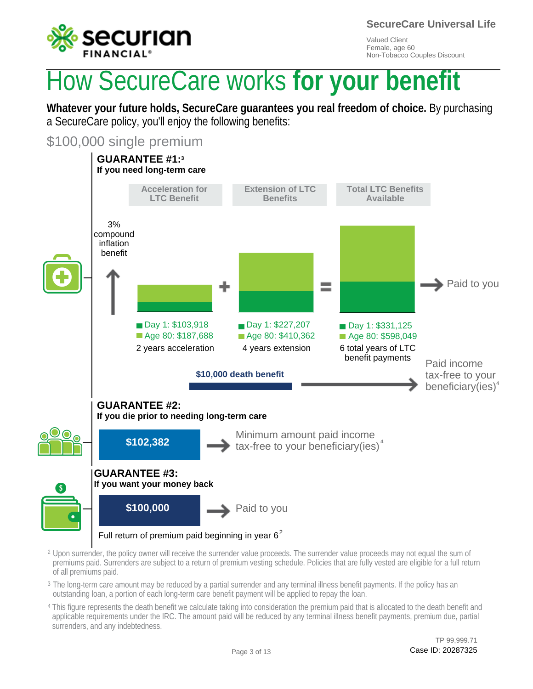

**SecureCare Universal Life**

Valued Client Female, age 60 Non-Tobacco Couples Discount

# How SecureCare works **for your benefit**

**Whatever your future holds, SecureCare guarantees you real freedom of choice.** By purchasing a SecureCare policy, you'll enjoy the following benefits:

\$100,000 single premium



- $^2$  Upon surrender, the policy owner will receive the surrender value proceeds. The surrender value proceeds may not equal the sum of premiums paid. Surrenders are subject to a return of premium vesting schedule. Policies that are fully vested are eligible for a full return of all premiums paid.
- $^{\rm 3}$  The long-term care amount may be reduced by a partial surrender and any terminal illness benefit payments. If the policy has an outstanding loan, a portion of each long-term care benefit payment will be applied to repay the loan.
- <sup>4</sup> This figure represents the death benefit we calculate taking into consideration the premium paid that is allocated to the death benefit and applicable requirements under the IRC. The amount paid will be reduced by any terminal illness benefit payments, premium due, partial surrenders, and any indebtedness.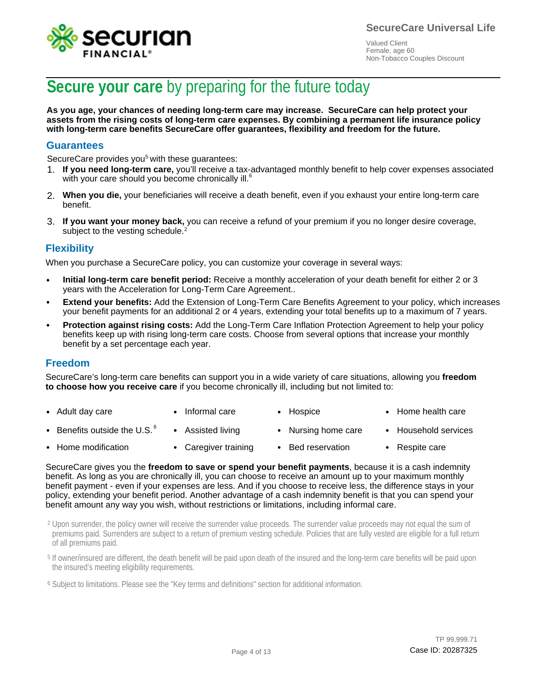



## **Secure your care** by preparing for the future today

**As you age, your chances of needing long-term care may increase. SecureCare can help protect your assets from the rising costs of long-term care expenses. By combining a permanent life insurance policy with long-term care benefits SecureCare offer guarantees, flexibility and freedom for the future.**

### **Guarantees**

SecureCare provides you<sup>5</sup> with these guarantees:

- 1. If you need long-term care, you'll receive a tax-advantaged monthly benefit to help cover expenses associated with you heed long term care, you heeling is the with your care should you become chronically ill.<sup>6</sup>
- **When you die,** your beneficiaries will receive a death benefit, even if you exhaust your entire long-term care 2. benefit.
- 3. If you want your money back, you can receive a refund of your premium if you no longer desire coverage, subject to the vesting schedule.<sup>2</sup>

### **Flexibility**

When you purchase a SecureCare policy, you can customize your coverage in several ways:

- **Initial long-term care benefit period:** Receive a monthly acceleration of your death benefit for either 2 or 3 years with the Acceleration for Long-Term Care Agreement.. •
- **Extend your benefits:** Add the Extension of Long-Term Care Benefits Agreement to your policy, which increases your benefit payments for an additional 2 or 4 years, extending your total benefits up to a maximum of 7 years.
- **Protection against rising costs:** Add the Long-Term Care Inflation Protection Agreement to help your policy benefits keep up with rising long-term care costs. Choose from several options that increase your monthly benefit by a set percentage each year.

#### **Freedom**

SecureCare's long-term care benefits can support you in a wide variety of care situations, allowing you **freedom to choose how you receive care** if you become chronically ill, including but not limited to:

- Adult day care • Informal care • Hospice • Home health care
- Benefits outside the U.S.  $^6$ • • Assisted living • Nursing home care • Household services
- Home modification • • Caregiver training • Bed reservation • Respite care

SecureCare gives you the **freedom to save or spend your benefit payments**, because it is a cash indemnity benefit. As long as you are chronically ill, you can choose to receive an amount up to your maximum monthly benefit payment - even if your expenses are less. And if you choose to receive less, the difference stays in your policy, extending your benefit period. Another advantage of a cash indemnity benefit is that you can spend your benefit amount any way you wish, without restrictions or limitations, including informal care.

 $^2$  Upon surrender, the policy owner will receive the surrender value proceeds. The surrender value proceeds may not equal the sum of premiums paid. Surrenders are subject to a return of premium vesting schedule. Policies that are fully vested are eligible for a full return of all premiums paid.

<sup>5</sup> If owner/insured are different, the death benefit will be paid upon death of the insured and the long-term care benefits will be paid upon the insured's meeting eligibility requirements.

<sup>6</sup> Subject to limitations. Please see the "Key terms and definitions" section for additional information.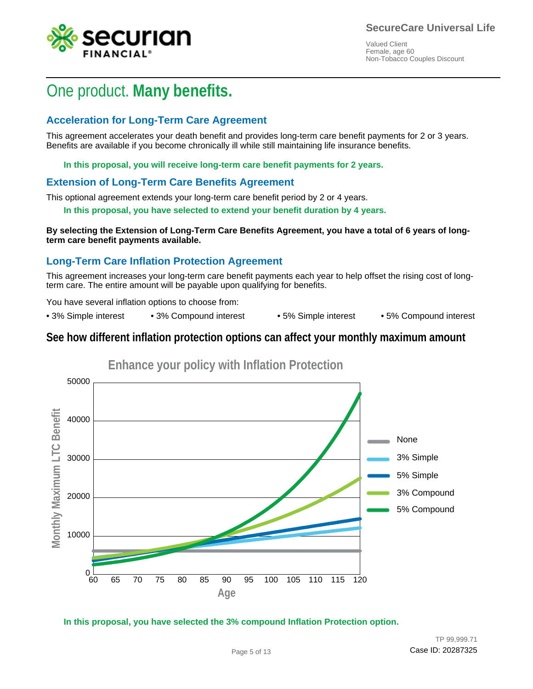

## One product. **Many benefits.**

### **Acceleration for Long-Term Care Agreement**

This agreement accelerates your death benefit and provides long-term care benefit payments for 2 or 3 years. Benefits are available if you become chronically ill while still maintaining life insurance benefits.

**In this proposal, you will receive long-term care benefit payments for 2 years.**

### **Extension of Long-Term Care Benefits Agreement**

This optional agreement extends your long-term care benefit period by 2 or 4 years.

**In this proposal, you have selected to extend your benefit duration by 4 years.**

**By selecting the Extension of Long-Term Care Benefits Agreement, you have a total of 6 years of longterm care benefit payments available.**

### **Long-Term Care Inflation Protection Agreement**

This agreement increases your long-term care benefit payments each year to help offset the rising cost of longterm care. The entire amount will be payable upon qualifying for benefits.

You have several inflation options to choose from:

• 3% Simple interest • 3% Compound interest • 5% Simple interest • 5% Compound interest

### **See how different inflation protection options can affect your monthly maximum amount**



**In this proposal, you have selected the 3% compound Inflation Protection option.**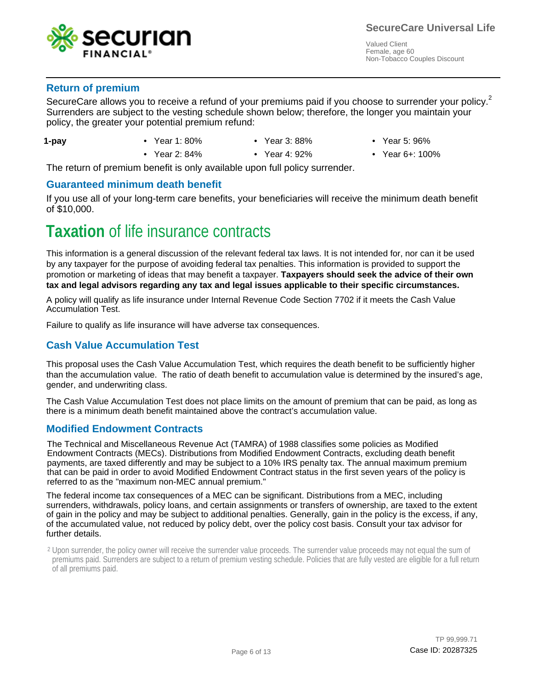

### **Return of premium**

SecureCare allows you to receive a refund of your premiums paid if you choose to surrender your policy.<sup>2</sup> Surrenders are subject to the vesting schedule shown below; therefore, the longer you maintain your Surrenders are subject to the vesting schedule shown below; therefore, the longer you maintain your policy, the greater your potential premium refund: policy, the greater your potential premium refund:

- **1-pay**
- Year 1: 80%
- - Year 3: 88%
- Year 5: 96%
- Year 2: 84% Year 4: 92% Year 6+: 100%
	- Year 4: 92%
- 

The return of premium benefit is only available upon full policy surrender.

### **Guaranteed minimum death benefit**

If you use all of your long-term care benefits, your beneficiaries will receive the minimum death benefit of \$10,000.

## **Taxation** of life insurance contracts

This information is a general discussion of the relevant federal tax laws. It is not intended for, nor can it be used by any taxpayer for the purpose of avoiding federal tax penalties. This information is provided to support the promotion or marketing of ideas that may benefit a taxpayer. **Taxpayers should seek the advice of their own tax and legal advisors regarding any tax and legal issues applicable to their specific circumstances.**

A policy will qualify as life insurance under Internal Revenue Code Section 7702 if it meets the Cash Value Accumulation Test.

Failure to qualify as life insurance will have adverse tax consequences.

### **Cash Value Accumulation Test**

This proposal uses the Cash Value Accumulation Test, which requires the death benefit to be sufficiently higher than the accumulation value. The ratio of death benefit to accumulation value is determined by the insured's age, gender, and underwriting class.

The Cash Value Accumulation Test does not place limits on the amount of premium that can be paid, as long as there is a minimum death benefit maintained above the contract's accumulation value.

### **Modified Endowment Contracts**

The Technical and Miscellaneous Revenue Act (TAMRA) of 1988 classifies some policies as Modified Endowment Contracts (MECs). Distributions from Modified Endowment Contracts, excluding death benefit payments, are taxed differently and may be subject to a 10% IRS penalty tax. The annual maximum premium that can be paid in order to avoid Modified Endowment Contract status in the first seven years of the policy is referred to as the "maximum non-MEC annual premium."

The federal income tax consequences of a MEC can be significant. Distributions from a MEC, including surrenders, withdrawals, policy loans, and certain assignments or transfers of ownership, are taxed to the extent of gain in the policy and may be subject to additional penalties. Generally, gain in the policy is the excess, if any, of the accumulated value, not reduced by policy debt, over the policy cost basis. Consult your tax advisor for further details.

 $2$  Upon surrender, the policy owner will receive the surrender value proceeds. The surrender value proceeds may not equal the sum of premiums paid. Surrenders are subject to a return of premium vesting schedule. Policies that are fully vested are eligible for a full return of all premiums paid.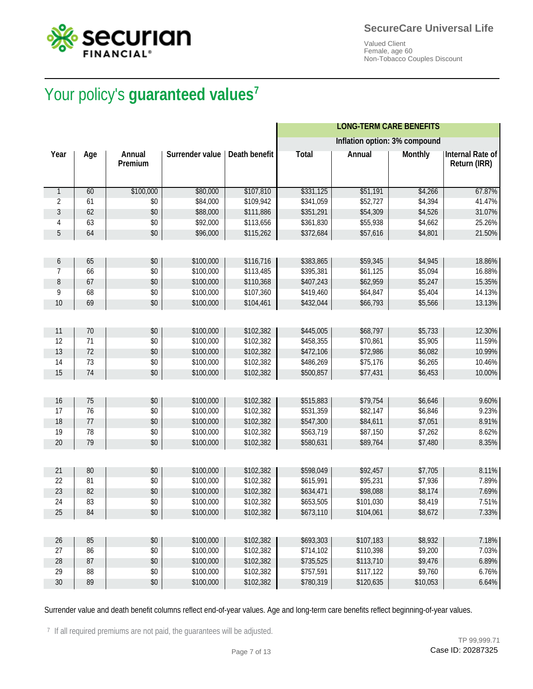



# Your policy's **guaranteed values<sup>7</sup>** Your policy's **guaranteed values**

|              |     |                   |                 |                      |              | <b>LONG-TERM CARE BENEFITS</b> |                |                                  |
|--------------|-----|-------------------|-----------------|----------------------|--------------|--------------------------------|----------------|----------------------------------|
|              |     |                   |                 |                      |              | Inflation option: 3% compound  |                |                                  |
| Year         | Age | Annual<br>Premium | Surrender value | <b>Death benefit</b> | <b>Total</b> | Annual                         | <b>Monthly</b> | Internal Rate of<br>Return (IRR) |
| $\mathbf{1}$ | 60  | \$100,000         | \$80,000        | \$107,810            | \$331,125    | \$51,191                       | \$4,266        | 67.87%                           |
| 2            | 61  | \$0               | \$84,000        | \$109,942            | \$341,059    | \$52,727                       | \$4,394        | 41.47%                           |
| 3            | 62  | \$0               | \$88,000        | \$111,886            | \$351,291    | \$54,309                       | \$4,526        | 31.07%                           |
| 4            | 63  | \$0               | \$92,000        | \$113,656            | \$361,830    | \$55,938                       | \$4,662        | 25.26%                           |
| 5            | 64  | \$0               | \$96,000        | \$115,262            | \$372,684    | \$57,616                       | \$4,801        | 21.50%                           |
|              |     |                   |                 |                      |              |                                |                |                                  |
| 6            | 65  | \$0               | \$100,000       | \$116,716            | \$383,865    | \$59,345                       | \$4,945        | 18.86%                           |
| 7            | 66  | \$0               | \$100,000       | \$113,485            | \$395,381    | \$61,125                       | \$5,094        | 16.88%                           |
| 8            | 67  | \$0               | \$100,000       | \$110,368            | \$407,243    | \$62,959                       | \$5,247        | 15.35%                           |
| 9            | 68  | \$0               | \$100,000       | \$107,360            | \$419,460    | \$64,847                       | \$5,404        | 14.13%                           |
| 10           | 69  | \$0               | \$100,000       | \$104,461            | \$432,044    | \$66,793                       | \$5,566        | 13.13%                           |
|              |     |                   |                 |                      |              |                                |                |                                  |
| 11           | 70  | \$0               | \$100,000       | \$102,382            | \$445,005    | \$68,797                       | \$5,733        | 12.30%                           |
| 12           | 71  | \$0               | \$100,000       | \$102,382            | \$458,355    | \$70,861                       | \$5,905        | 11.59%                           |
| 13           | 72  | \$0               | \$100,000       | \$102,382            | \$472,106    | \$72,986                       | \$6,082        | 10.99%                           |
| 14           | 73  | \$0               | \$100,000       | \$102,382            | \$486,269    | \$75,176                       | \$6,265        | 10.46%                           |
| 15           | 74  | \$0               | \$100,000       | \$102,382            | \$500,857    | \$77,431                       | \$6,453        | 10.00%                           |
|              |     |                   |                 |                      |              |                                |                |                                  |
| 16           | 75  | \$0               | \$100,000       | \$102,382            | \$515,883    | \$79,754                       | \$6,646        | 9.60%                            |
| 17           | 76  | \$0               | \$100,000       | \$102,382            | \$531,359    | \$82,147                       | \$6,846        | 9.23%                            |
| 18           | 77  | \$0               | \$100,000       | \$102,382            | \$547,300    | \$84,611                       | \$7,051        | 8.91%                            |
| 19           | 78  | \$0               | \$100,000       | \$102,382            | \$563,719    | \$87,150                       | \$7,262        | 8.62%                            |
| 20           | 79  | \$0               | \$100,000       | \$102,382            | \$580,631    | \$89,764                       | \$7,480        | 8.35%                            |
|              |     |                   |                 |                      |              |                                |                |                                  |
| 21           | 80  | \$0               | \$100,000       | \$102,382            | \$598,049    | \$92,457                       | \$7,705        | 8.11%                            |
| 22           | 81  | \$0               | \$100,000       | \$102,382            | \$615,991    | \$95,231                       | \$7,936        | 7.89%                            |
| 23           | 82  | \$0               | \$100,000       | \$102,382            | \$634,471    | \$98,088                       | \$8,174        | 7.69%                            |
| 24           | 83  | \$0               | \$100,000       | \$102,382            | \$653,505    | \$101,030                      | \$8,419        | 7.51%                            |
| 25           | 84  | \$0               | \$100,000       | \$102,382            | \$673,110    | \$104,061                      | \$8,672        | 7.33%                            |
|              |     |                   |                 |                      |              |                                |                |                                  |
| 26           | 85  | \$0               | \$100,000       | \$102,382            | \$693,303    | \$107,183                      | \$8,932        | 7.18%                            |
| 27           | 86  | $$0$$             | \$100,000       | \$102,382            | \$714,102    | \$110,398                      | \$9,200        | 7.03%                            |
| 28           | 87  | $$0$              | \$100,000       | \$102,382            | \$735,525    | \$113,710                      | \$9,476        | 6.89%                            |
| 29           | 88  | \$0               | \$100,000       | \$102,382            | \$757,591    | \$117,122                      | \$9,760        | 6.76%                            |
| 30           | 89  | \$0               | \$100,000       | \$102,382            | \$780,319    | \$120,635                      | \$10,053       | 6.64%                            |

Surrender value and death benefit columns reflect end-of-year values. Age and long-term care benefits reflect beginning-of-year values.

<sup>7</sup> If all required premiums are not paid, the guarantees will be adjusted.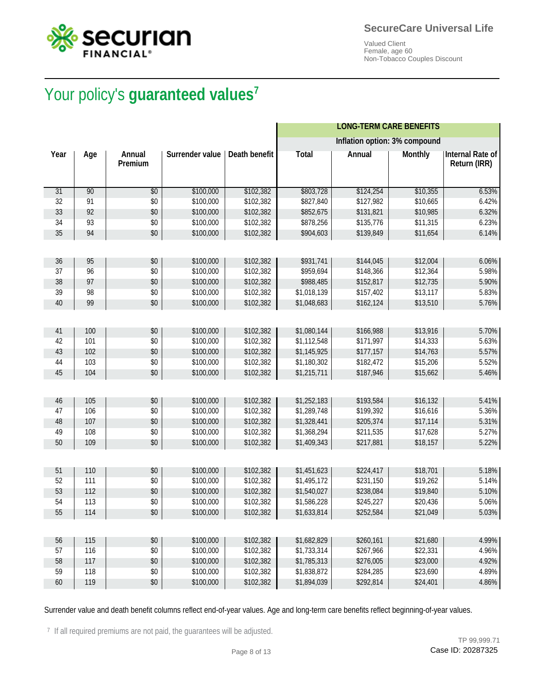



# Your policy's **guaranteed values<sup>7</sup>** Your policy's **guaranteed values**

|      |     |                   |                 |                      |              | <b>LONG-TERM CARE BENEFITS</b> |                |                                  |
|------|-----|-------------------|-----------------|----------------------|--------------|--------------------------------|----------------|----------------------------------|
|      |     |                   |                 |                      |              | Inflation option: 3% compound  |                |                                  |
| Year | Age | Annual<br>Premium | Surrender value | <b>Death benefit</b> | <b>Total</b> | Annual                         | <b>Monthly</b> | Internal Rate of<br>Return (IRR) |
| 31   | 90  | $\overline{30}$   | \$100,000       | \$102,382            | \$803,728    | \$124,254                      | \$10,355       | 6.53%                            |
| 32   | 91  | \$0               | \$100,000       | \$102,382            | \$827,840    | \$127,982                      | \$10,665       | 6.42%                            |
| 33   | 92  | \$0               | \$100,000       | \$102,382            | \$852,675    | \$131,821                      | \$10,985       | 6.32%                            |
| 34   | 93  | \$0               | \$100,000       | \$102,382            | \$878,256    | \$135,776                      | \$11,315       | 6.23%                            |
| 35   | 94  | \$0               | \$100,000       | \$102,382            | \$904,603    | \$139,849                      | \$11,654       | 6.14%                            |
|      |     |                   |                 |                      |              |                                |                |                                  |
| 36   | 95  | \$0               | \$100,000       | \$102,382            | \$931,741    | \$144,045                      | \$12,004       | 6.06%                            |
| 37   | 96  | \$0               | \$100,000       | \$102,382            | \$959,694    | \$148,366                      | \$12,364       | 5.98%                            |
| 38   | 97  | \$0               | \$100,000       | \$102,382            | \$988,485    | \$152,817                      | \$12,735       | 5.90%                            |
| 39   | 98  | \$0               | \$100,000       | \$102,382            | \$1,018,139  | \$157,402                      | \$13,117       | 5.83%                            |
| 40   | 99  | \$0               | \$100,000       | \$102,382            | \$1,048,683  | \$162,124                      | \$13,510       | 5.76%                            |
|      |     |                   |                 |                      |              |                                |                |                                  |
| 41   | 100 | \$0               | \$100,000       | \$102,382            | \$1,080,144  | \$166,988                      | \$13,916       | 5.70%                            |
| 42   | 101 | \$0               | \$100,000       | \$102,382            | \$1,112,548  | \$171,997                      | \$14,333       | 5.63%                            |
| 43   | 102 | \$0               | \$100,000       | \$102,382            | \$1,145,925  | \$177,157                      | \$14,763       | 5.57%                            |
| 44   | 103 | \$0               | \$100,000       | \$102,382            | \$1,180,302  | \$182,472                      | \$15,206       | 5.52%                            |
| 45   | 104 | \$0               | \$100,000       | \$102,382            | \$1,215,711  | \$187,946                      | \$15,662       | 5.46%                            |
|      |     |                   |                 |                      |              |                                |                |                                  |
| 46   | 105 | \$0               | \$100,000       | \$102,382            | \$1,252,183  | \$193,584                      | \$16,132       | 5.41%                            |
| 47   | 106 | \$0               | \$100,000       | \$102,382            | \$1,289,748  | \$199,392                      | \$16,616       | 5.36%                            |
| 48   | 107 | \$0               | \$100,000       | \$102,382            | \$1,328,441  | \$205,374                      | \$17,114       | 5.31%                            |
| 49   | 108 | \$0               | \$100,000       | \$102,382            | \$1,368,294  | \$211,535                      | \$17,628       | 5.27%                            |
| 50   | 109 | \$0               | \$100,000       | \$102,382            | \$1,409,343  | \$217,881                      | \$18,157       | 5.22%                            |
|      |     |                   |                 |                      |              |                                |                |                                  |
| 51   | 110 | \$0               | \$100,000       | \$102,382            | \$1,451,623  | \$224,417                      | \$18,701       | 5.18%                            |
| 52   | 111 | \$0               | \$100,000       | \$102,382            | \$1,495,172  | \$231,150                      | \$19,262       | 5.14%                            |
| 53   | 112 | \$0               | \$100,000       | \$102,382            | \$1,540,027  | \$238,084                      | \$19,840       | 5.10%                            |
| 54   | 113 | \$0               | \$100,000       | \$102,382            | \$1,586,228  | \$245,227                      | \$20,436       | 5.06%                            |
| 55   | 114 | $$0$              | \$100,000       | \$102,382            | \$1,633,814  | \$252,584                      | \$21,049       | 5.03%                            |
|      |     |                   |                 |                      |              |                                |                |                                  |
| 56   | 115 | \$0               | \$100,000       | \$102,382            | \$1,682,829  | \$260,161                      | \$21,680       | 4.99%                            |
| 57   | 116 | \$0               | \$100,000       | \$102,382            | \$1,733,314  | \$267,966                      | \$22,331       | 4.96%                            |
| 58   | 117 | \$0               | \$100,000       | \$102,382            | \$1,785,313  | \$276,005                      | \$23,000       | 4.92%                            |
| 59   | 118 | \$0               | \$100,000       | \$102,382            | \$1,838,872  | \$284,285                      | \$23,690       | 4.89%                            |
| 60   | 119 | $$0$              | \$100,000       | \$102,382            | \$1,894,039  | \$292,814                      | \$24,401       | 4.86%                            |

Surrender value and death benefit columns reflect end-of-year values. Age and long-term care benefits reflect beginning-of-year values.

<sup>7</sup> If all required premiums are not paid, the guarantees will be adjusted.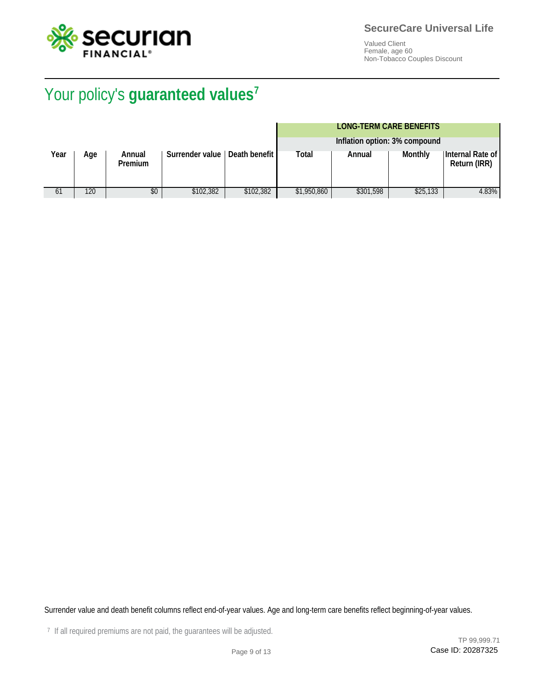

# Your policy's **guaranteed values<sup>7</sup>** Your policy's **guaranteed values**

#### **LONG-TERM CARE BENEFITS**

|      |     |                          |                                 |           |             | Inflation option: 3% compound |          |                                  |
|------|-----|--------------------------|---------------------------------|-----------|-------------|-------------------------------|----------|----------------------------------|
| Year | Age | Annual<br><b>Premium</b> | Surrender value   Death benefit |           | Total       | Annual                        | Monthly  | Internal Rate of<br>Return (IRR) |
| 61   | 120 | \$0                      | \$102,382                       | \$102.382 | \$1,950,860 | \$301,598                     | \$25,133 | 4.83%                            |

Surrender value and death benefit columns reflect end-of-year values. Age and long-term care benefits reflect beginning-of-year values.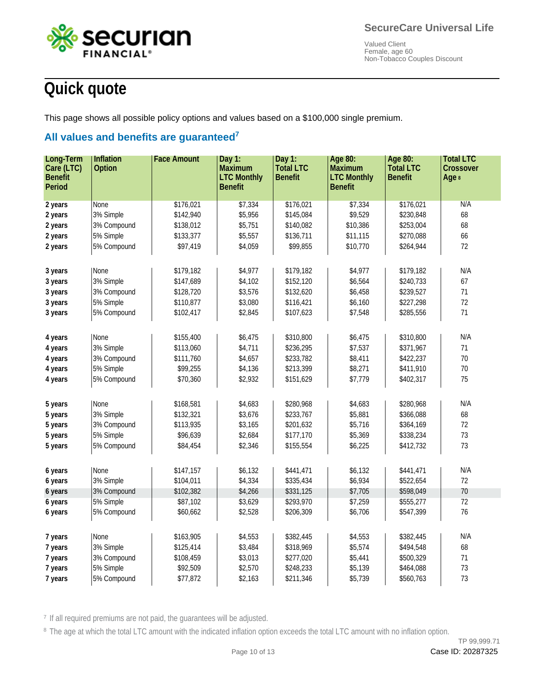

# **Quick quote**

This page shows all possible policy options and values based on a \$100,000 single premium.

## **All values and benefits are guaranteed<sup>7</sup> All values and benefits are guaranteed**

| Long-Term      | Inflation     | <b>Face Amount</b> | Day $1:$           | Day 1:           | Age 80:            | Age 80:          | <b>Total LTC</b> |
|----------------|---------------|--------------------|--------------------|------------------|--------------------|------------------|------------------|
| Care (LTC)     | <b>Option</b> |                    | <b>Maximum</b>     | <b>Total LTC</b> | <b>Maximum</b>     | <b>Total LTC</b> | <b>Crossover</b> |
| <b>Benefit</b> |               |                    | <b>LTC Monthly</b> | <b>Benefit</b>   | <b>LTC Monthly</b> | <b>Benefit</b>   | Age 8            |
| <b>Period</b>  |               |                    | <b>Benefit</b>     |                  | <b>Benefit</b>     |                  |                  |
| 2 years        | None          | \$176,021          | \$7,334            | \$176,021        | \$7,334            | \$176,021        | N/A              |
| 2 years        | 3% Simple     | \$142,940          | \$5,956            | \$145,084        | \$9,529            | \$230,848        | 68               |
| 2 years        | 3% Compound   | \$138,012          | \$5,751            | \$140,082        | \$10,386           | \$253,004        | 68               |
| 2 years        | 5% Simple     | \$133,377          | \$5,557            | \$136,711        | \$11,115           | \$270,088        | 66               |
| 2 years        | 5% Compound   | \$97,419           | \$4,059            | \$99,855         | \$10,770           | \$264,944        | 72               |
|                |               |                    |                    |                  |                    |                  |                  |
| 3 years        | None          | \$179,182          | \$4,977            | \$179,182        | \$4,977            | \$179,182        | N/A              |
| 3 years        | 3% Simple     | \$147,689          | \$4,102            | \$152,120        | \$6,564            | \$240,733        | 67               |
| 3 years        | 3% Compound   | \$128,720          | \$3,576            | \$132,620        | \$6,458            | \$239,527        | 71               |
|                | 5% Simple     | \$110,877          | \$3,080            | \$116,421        | \$6,160            | \$227,298        | 72               |
| 3 years        | 5% Compound   | \$102,417          | \$2,845            | \$107,623        | \$7,548            | \$285,556        | $71\,$           |
| 3 years        |               |                    |                    |                  |                    |                  |                  |
|                |               |                    |                    |                  |                    |                  |                  |
| 4 years        | None          | \$155,400          | \$6,475            | \$310,800        | \$6,475            | \$310,800        | N/A              |
| 4 years        | 3% Simple     | \$113,060          | \$4,711            | \$236,295        | \$7,537            | \$371,967        | $71\,$           |
| 4 years        | 3% Compound   | \$111,760          | \$4,657            | \$233,782        | \$8,411            | \$422,237        | 70               |
| 4 years        | 5% Simple     | \$99,255           | \$4,136            | \$213,399        | \$8,271            | \$411,910        | 70               |
| 4 years        | 5% Compound   | \$70,360           | \$2,932            | \$151,629        | \$7,779            | \$402,317        | 75               |
|                |               |                    |                    |                  |                    |                  |                  |
| 5 years        | None          | \$168,581          | \$4,683            | \$280,968        | \$4,683            | \$280,968        | N/A              |
| 5 years        | 3% Simple     | \$132,321          | \$3,676            | \$233,767        | \$5,881            | \$366,088        | 68               |
| 5 years        | 3% Compound   | \$113,935          | \$3,165            | \$201,632        | \$5,716            | \$364,169        | 72               |
| 5 years        | 5% Simple     | \$96,639           | \$2,684            | \$177,170        | \$5,369            | \$338,234        | 73               |
| 5 years        | 5% Compound   | \$84,454           | \$2,346            | \$155,554        | \$6,225            | \$412,732        | 73               |
|                |               |                    |                    |                  |                    |                  |                  |
| 6 years        | None          | \$147,157          | \$6,132            | \$441,471        | \$6,132            | \$441,471        | N/A              |
| 6 years        | 3% Simple     | \$104,011          | \$4,334            | \$335,434        | \$6,934            | \$522,654        | 72               |
| 6 years        | 3% Compound   | \$102,382          | \$4,266            | \$331,125        | \$7,705            | \$598,049        | 70               |
| 6 years        | 5% Simple     | \$87,102           | \$3,629            | \$293,970        | \$7,259            | \$555,277        | 72               |
| 6 years        | 5% Compound   | \$60,662           | \$2,528            | \$206,309        | \$6,706            | \$547,399        | 76               |
|                |               |                    |                    |                  |                    |                  |                  |
| 7 years        | None          | \$163,905          | \$4,553            | \$382,445        | \$4,553            | \$382,445        | N/A              |
| 7 years        | 3% Simple     | \$125,414          | \$3,484            | \$318,969        | \$5,574            | \$494,548        | 68               |
| 7 years        | 3% Compound   | \$108,459          | \$3,013            | \$277,020        | \$5,441            | \$500,329        | $71\,$           |
| 7 years        | 5% Simple     | \$92,509           | \$2,570            | \$248,233        | \$5,139            | \$464,088        | 73               |
| 7 years        | 5% Compound   | \$77,872           | \$2,163            | \$211,346        | \$5,739            | \$560,763        | 73               |

<sup>7</sup> If all required premiums are not paid, the guarantees will be adjusted.

<sup>8</sup> The age at which the total LTC amount with the indicated inflation option exceeds the total LTC amount with no inflation option.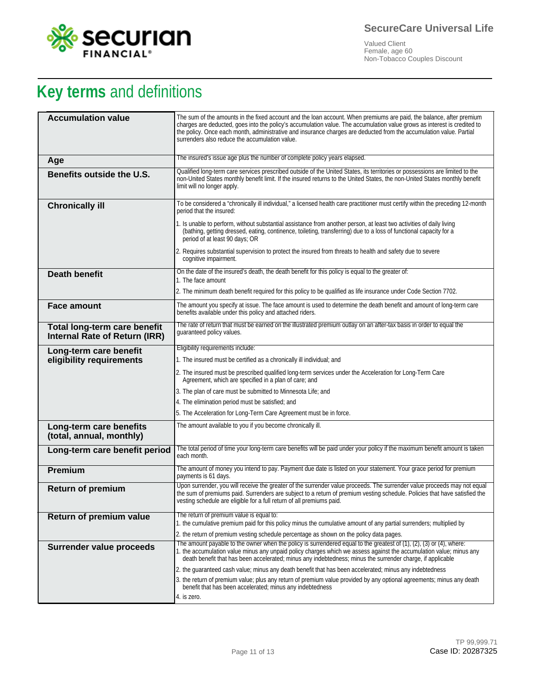

# **Key terms** and definitions

| <b>Accumulation value</b>                                     | The sum of the amounts in the fixed account and the loan account. When premiums are paid, the balance, after premium<br>charges are deducted, goes into the policy's accumulation value. The accumulation value grows as interest is credited to<br>the policy. Once each month, administrative and insurance charges are deducted from the accumulation value. Partial<br>surrenders also reduce the accumulation value. |
|---------------------------------------------------------------|---------------------------------------------------------------------------------------------------------------------------------------------------------------------------------------------------------------------------------------------------------------------------------------------------------------------------------------------------------------------------------------------------------------------------|
| Age                                                           | The insured's issue age plus the number of complete policy years elapsed.                                                                                                                                                                                                                                                                                                                                                 |
| Benefits outside the U.S.                                     | Qualified long-term care services prescribed outside of the United States, its territories or possessions are limited to the<br>non-United States monthly benefit limit. If the insured returns to the United States, the non-United States monthly benefit<br>limit will no longer apply.                                                                                                                                |
| <b>Chronically ill</b>                                        | To be considered a "chronically ill individual," a licensed health care practitioner must certify within the preceding 12-month<br>period that the insured:                                                                                                                                                                                                                                                               |
|                                                               | 1. Is unable to perform, without substantial assistance from another person, at least two activities of daily living<br>(bathing, getting dressed, eating, continence, toileting, transferring) due to a loss of functional capacity for a<br>period of at least 90 days; OR                                                                                                                                              |
|                                                               | 2. Requires substantial supervision to protect the insured from threats to health and safety due to severe<br>cognitive impairment.                                                                                                                                                                                                                                                                                       |
| <b>Death benefit</b>                                          | On the date of the insured's death, the death benefit for this policy is equal to the greater of:<br>1. The face amount                                                                                                                                                                                                                                                                                                   |
|                                                               | 2. The minimum death benefit required for this policy to be qualified as life insurance under Code Section 7702.                                                                                                                                                                                                                                                                                                          |
| <b>Face amount</b>                                            | The amount you specify at issue. The face amount is used to determine the death benefit and amount of long-term care                                                                                                                                                                                                                                                                                                      |
|                                                               | benefits available under this policy and attached riders.                                                                                                                                                                                                                                                                                                                                                                 |
| Total long-term care benefit<br>Internal Rate of Return (IRR) | The rate of return that must be earned on the illustrated premium outlay on an after-tax basis in order to equal the<br>quaranteed policy values.                                                                                                                                                                                                                                                                         |
| Long-term care benefit                                        | Eligibility requirements include:                                                                                                                                                                                                                                                                                                                                                                                         |
| eligibility requirements                                      | 1. The insured must be certified as a chronically ill individual; and                                                                                                                                                                                                                                                                                                                                                     |
|                                                               | 2. The insured must be prescribed qualified long-term services under the Acceleration for Long-Term Care<br>Agreement, which are specified in a plan of care; and                                                                                                                                                                                                                                                         |
|                                                               | 3. The plan of care must be submitted to Minnesota Life; and                                                                                                                                                                                                                                                                                                                                                              |
|                                                               | 4. The elimination period must be satisfied; and                                                                                                                                                                                                                                                                                                                                                                          |
|                                                               | 5. The Acceleration for Long-Term Care Agreement must be in force.                                                                                                                                                                                                                                                                                                                                                        |
| Long-term care benefits<br>(total, annual, monthly)           | The amount available to you if you become chronically ill.                                                                                                                                                                                                                                                                                                                                                                |
| Long-term care benefit period                                 | The total period of time your long-term care benefits will be paid under your policy if the maximum benefit amount is taken<br>each month.                                                                                                                                                                                                                                                                                |
| Premium                                                       | The amount of money you intend to pay. Payment due date is listed on your statement. Your grace period for premium<br>payments is 61 days.                                                                                                                                                                                                                                                                                |
| <b>Return of premium</b>                                      | Upon surrender, you will receive the greater of the surrender value proceeds. The surrender value proceeds may not equal<br>the sum of premiums paid. Surrenders are subject to a return of premium vesting schedule. Policies that have satisfied the<br>vesting schedule are eligible for a full return of all premiums paid.                                                                                           |
| Return of premium value                                       | The return of premium value is equal to:                                                                                                                                                                                                                                                                                                                                                                                  |
|                                                               | 1. the cumulative premium paid for this policy minus the cumulative amount of any partial surrenders; multiplied by<br>2. the return of premium vesting schedule percentage as shown on the policy data pages.                                                                                                                                                                                                            |
| Surrender value proceeds                                      | The amount payable to the owner when the policy is surrendered equal to the greatest of $(1)$ , $(2)$ , $(3)$ or $(4)$ , where:                                                                                                                                                                                                                                                                                           |
|                                                               | 1. the accumulation value minus any unpaid policy charges which we assess against the accumulation value; minus any<br>death benefit that has been accelerated; minus any indebtedness; minus the surrender charge, if applicable                                                                                                                                                                                         |
|                                                               | 2. the guaranteed cash value; minus any death benefit that has been accelerated; minus any indebtedness                                                                                                                                                                                                                                                                                                                   |
|                                                               | 3. the return of premium value; plus any return of premium value provided by any optional agreements; minus any death<br>benefit that has been accelerated; minus any indebtedness                                                                                                                                                                                                                                        |
|                                                               | 4. is zero.                                                                                                                                                                                                                                                                                                                                                                                                               |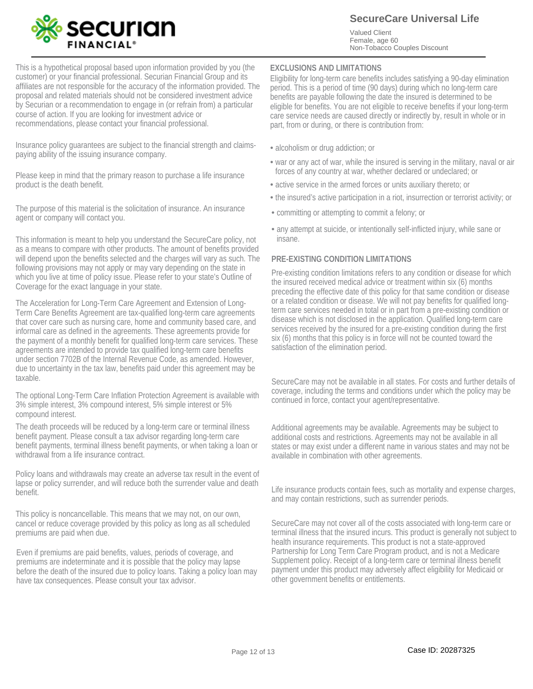

**SecureCare Universal Life**

Valued Client Female, age 60 Non-Tobacco Couples Discount

This is a hypothetical proposal based upon information provided by you (the customer) or your financial professional. Securian Financial Group and its affiliates are not responsible for the accuracy of the information provided. The proposal and related materials should not be considered investment advice by Securian or a recommendation to engage in (or refrain from) a particular course of action. If you are looking for investment advice or recommendations, please contact your financial professional.

Insurance policy guarantees are subject to the financial strength and claimspaying ability of the issuing insurance company.

Please keep in mind that the primary reason to purchase a life insurance product is the death benefit.

The purpose of this material is the solicitation of insurance. An insurance agent or company will contact you.

This information is meant to help you understand the SecureCare policy, not as a means to compare with other products. The amount of benefits provided will depend upon the benefits selected and the charges will vary as such. The following provisions may not apply or may vary depending on the state in which you live at time of policy issue. Please refer to your state's Outline of Coverage for the exact language in your state.

The Acceleration for Long-Term Care Agreement and Extension of Long-Term Care Benefits Agreement are tax-qualified long-term care agreements that cover care such as nursing care, home and community based care, and informal care as defined in the agreements. These agreements provide for the payment of a monthly benefit for qualified long-term care services. These agreements are intended to provide tax qualified long-term care benefits under section 7702B of the Internal Revenue Code, as amended. However, due to uncertainty in the tax law, benefits paid under this agreement may be taxable.

The optional Long-Term Care Inflation Protection Agreement is available with 3% simple interest, 3% compound interest, 5% simple interest or 5% compound interest.

The death proceeds will be reduced by a long-term care or terminal illness benefit payment. Please consult a tax advisor regarding long-term care benefit payments, terminal illness benefit payments, or when taking a loan or withdrawal from a life insurance contract.

Policy loans and withdrawals may create an adverse tax result in the event of lapse or policy surrender, and will reduce both the surrender value and death benefit.

This policy is noncancellable. This means that we may not, on our own, cancel or reduce coverage provided by this policy as long as all scheduled premiums are paid when due.

Even if premiums are paid benefits, values, periods of coverage, and premiums are indeterminate and it is possible that the policy may lapse before the death of the insured due to policy loans. Taking a policy loan may have tax consequences. Please consult your tax advisor.

#### **EXCLUSIONS AND LIMITATIONS**

Eligibility for long-term care benefits includes satisfying a 90-day elimination period. This is a period of time (90 days) during which no long-term care benefits are payable following the date the insured is determined to be eligible for benefits. You are not eligible to receive benefits if your long-term care service needs are caused directly or indirectly by, result in whole or in part, from or during, or there is contribution from:

- alcoholism or drug addiction; or
- war or any act of war, while the insured is serving in the military, naval or air forces of any country at war, whether declared or undeclared; or
- active service in the armed forces or units auxiliary thereto; or
- the insured's active participation in a riot, insurrection or terrorist activity; or
- committing or attempting to commit a felony; or •
- any attempt at suicide, or intentionally self-inflicted injury, while sane or insane.

#### **PRE-EXISTING CONDITION LIMITATIONS**

Pre-existing condition limitations refers to any condition or disease for which the insured received medical advice or treatment within six (6) months preceding the effective date of this policy for that same condition or disease or a related condition or disease. We will not pay benefits for qualified longterm care services needed in total or in part from a pre-existing condition or disease which is not disclosed in the application. Qualified long-term care services received by the insured for a pre-existing condition during the first six (6) months that this policy is in force will not be counted toward the satisfaction of the elimination period.

SecureCare may not be available in all states. For costs and further details of coverage, including the terms and conditions under which the policy may be continued in force, contact your agent/representative.

Additional agreements may be available. Agreements may be subject to additional costs and restrictions. Agreements may not be available in all states or may exist under a different name in various states and may not be available in combination with other agreements.

Life insurance products contain fees, such as mortality and expense charges, and may contain restrictions, such as surrender periods.

SecureCare may not cover all of the costs associated with long-term care or terminal illness that the insured incurs. This product is generally not subject to health insurance requirements. This product is not a state-approved Partnership for Long Term Care Program product, and is not a Medicare Supplement policy. Receipt of a long-term care or terminal illness benefit payment under this product may adversely affect eligibility for Medicaid or other government benefits or entitlements.